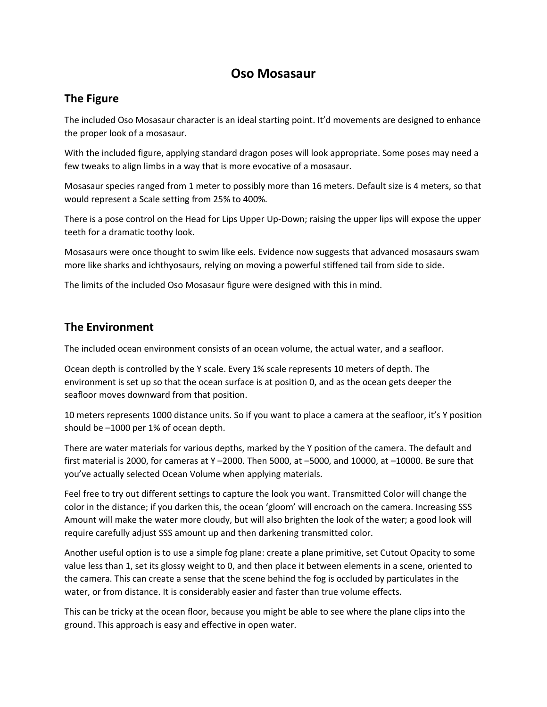## **Oso Mosasaur**

## **The Figure**

The included Oso Mosasaur character is an ideal starting point. It'd movements are designed to enhance the proper look of a mosasaur.

With the included figure, applying standard dragon poses will look appropriate. Some poses may need a few tweaks to align limbs in a way that is more evocative of a mosasaur.

Mosasaur species ranged from 1 meter to possibly more than 16 meters. Default size is 4 meters, so that would represent a Scale setting from 25% to 400%.

There is a pose control on the Head for Lips Upper Up-Down; raising the upper lips will expose the upper teeth for a dramatic toothy look.

Mosasaurs were once thought to swim like eels. Evidence now suggests that advanced mosasaurs swam more like sharks and ichthyosaurs, relying on moving a powerful stiffened tail from side to side.

The limits of the included Oso Mosasaur figure were designed with this in mind.

## **The Environment**

The included ocean environment consists of an ocean volume, the actual water, and a seafloor.

Ocean depth is controlled by the Y scale. Every 1% scale represents 10 meters of depth. The environment is set up so that the ocean surface is at position 0, and as the ocean gets deeper the seafloor moves downward from that position.

10 meters represents 1000 distance units. So if you want to place a camera at the seafloor, it's Y position should be –1000 per 1% of ocean depth.

There are water materials for various depths, marked by the Y position of the camera. The default and first material is 2000, for cameras at Y –2000. Then 5000, at –5000, and 10000, at –10000. Be sure that you've actually selected Ocean Volume when applying materials.

Feel free to try out different settings to capture the look you want. Transmitted Color will change the color in the distance; if you darken this, the ocean 'gloom' will encroach on the camera. Increasing SSS Amount will make the water more cloudy, but will also brighten the look of the water; a good look will require carefully adjust SSS amount up and then darkening transmitted color.

Another useful option is to use a simple fog plane: create a plane primitive, set Cutout Opacity to some value less than 1, set its glossy weight to 0, and then place it between elements in a scene, oriented to the camera. This can create a sense that the scene behind the fog is occluded by particulates in the water, or from distance. It is considerably easier and faster than true volume effects.

This can be tricky at the ocean floor, because you might be able to see where the plane clips into the ground. This approach is easy and effective in open water.